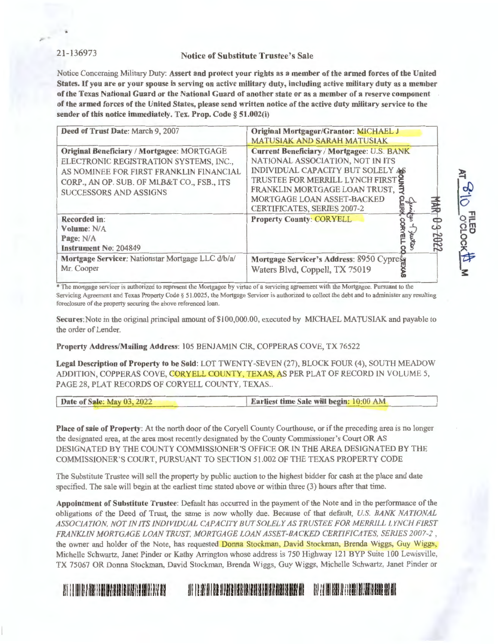## 21-136973 Notice of Substitute Trustee's Sale

Notice Concerning Military Duty: **Assert and protect your rights as a member of the armed forces of the United States.** If **you are or your spouse is serving on active military duty, including active military duty as a member of the Texas National Guard or the National Guard of another state or as a member of a reserve component of the armed forces of the United States, please send written notice of the active duty military service to the sender of this notice immediately. Tex. Prop. Code** § **51.002(i)** 

| Deed of Trust Date: March 9, 2007                                                                                                                                                                                     | <b>Original Mortgagor/Grantor: MICHAEL J</b><br><b>MATUSIAK AND SARAH MATUSIAK</b>                                                                                                                                                                                   |
|-----------------------------------------------------------------------------------------------------------------------------------------------------------------------------------------------------------------------|----------------------------------------------------------------------------------------------------------------------------------------------------------------------------------------------------------------------------------------------------------------------|
| <b>Original Beneficiary / Mortgagee: MORTGAGE</b><br>ELECTRONIC REGISTRATION SYSTEMS, INC.,<br>AS NOMINEE FOR FIRST FRANKLIN FINANCIAL<br>CORP., AN OP. SUB. OF MLB&T CO., FSB., ITS<br><b>SUCCESSORS AND ASSIGNS</b> | <b>Current Beneficiary / Mortgagee: U.S. BANK</b><br>NATIONAL ASSOCIATION, NOT IN ITS<br>INDIVIDUAL CAPACITY BUT SOLELY AS<br>TRUSTEE FOR MERRILL LYNCH FIRST<br>FRANKLIN MORTGAGE LOAN TRUST, 5<br>MORTGAGE LOAN ASSET-BACKED<br><b>CERTIFICATES, SERIES 2007-2</b> |
| Recorded in:<br>Volume: N/A<br>Page: N/A<br><b>Instrument No: 204849</b>                                                                                                                                              | <b>Property County: CORYELL</b>                                                                                                                                                                                                                                      |
| Mortgage Servicer: Nationstar Mortgage LLC d/b/a/<br>Mr. Cooper                                                                                                                                                       | Mortgage Servicer's Address: 8950 Cypress<br>Waters Blvd, Coppell, TX 75019                                                                                                                                                                                          |

~

 $\frac{1}{2}$ 

 $\leq$  $\frac{\pi}{2}$ 

o m **r- C**  0 ()

occlock<mark>t</mark><br>Ming

\* The mortgage servicer is authorized to represent the Mortgagee by virtue of a servicing agreement with the Mortgagee. Pursuant to the Servicing Agreement and Texas Property Code§ 51.0025, the Mortgage Servicer is authorized to collect the debt and to administer any resulting foreclosure of the property securing the above referenced loan.

**Secures:Note** in the original principal amount of \$100,000.00, executed by MICHAEL MATUSIAK and payable to the order of Lender.

#### **Property Address/Mailing Address:** 105 BENJAMIN CIR, COPPERAS COVE, TX 76522

**Legal Description of Property to be Sold:** LOT TWENTY-SEVEN (27), BLOCK FOUR (4), SOUTH MEADOW ADDITION, COPPERAS COVE, CORYELL COUNTY, TEXAS, AS PER PLAT OF RECORD IN VOLUME 5, PAGE 28, PLAT RECORDS OF CORYELL COUNTY, TEXAS..

| Date of Sale: May 03, 2022 | <b>Earliest time Sale will begin: 10:00 AM</b> |
|----------------------------|------------------------------------------------|
|                            |                                                |

**Place of sale of Property:** At the north door of the Coryell County Courthouse, or if the preceding area is no longer the designated area, at the area most recently designated by the County Commissioner's Court OR AS DESIGNATED BY THE COUNTY COMMISSIONER'S OFFICE OR IN THE AREA DESIGNATED BY THE COMMISSIONER'S COURT, PURSUANT TO SECTION 51.002 OF THE TEXAS PROPERTY CODE

The Substitute Trustee will sell the property by public auction to the highest bidder for cash at the place and date specified. The sale will begin at the earliest time stated above or within three (3) hours after that time.

Appointment of Substitute Trustee: Default has occurred in the payment of the Note and in the performance of the obligations of the Deed of Tmst, the same is now wholly due. Because of that default, *U.S. BANK NATIONAL ASSOCIATION, NOT IN ITS INDIVIDUAL CAPACITY BUT SOLELY AS TRUSTEE FOR MERRILL LYNCH FIRST FRANKLIN MORTGAGE LOAN TR UST. MORTGAGE LOAN ASSET-BACKED CERTIFICATES, SERIES 2007-2,*  the owner and holder of the Note, has requested Donna Stockman, David Stockman, Brenda Wiggs, Guy Wiggs, Michelle Schwartz, Janet Pinder or Kathy Arrington whose address is 750 Highway 121 BYP Suite 100 Lewisville, TX 75067 OR Donna Stockman, David Stockman, Brenda Wiggs, Guy Wiggs, Michelle Schwartz, Janet Pinder or

# Iii i 11111! I !Iii illllll!IHlllllll!llllli Iii Iii Iii II !Ii II ll!l llllllllll!llllllilllllllllllilllll Ill l!I ! 1111 lill II!! llll llilliHlll 111111